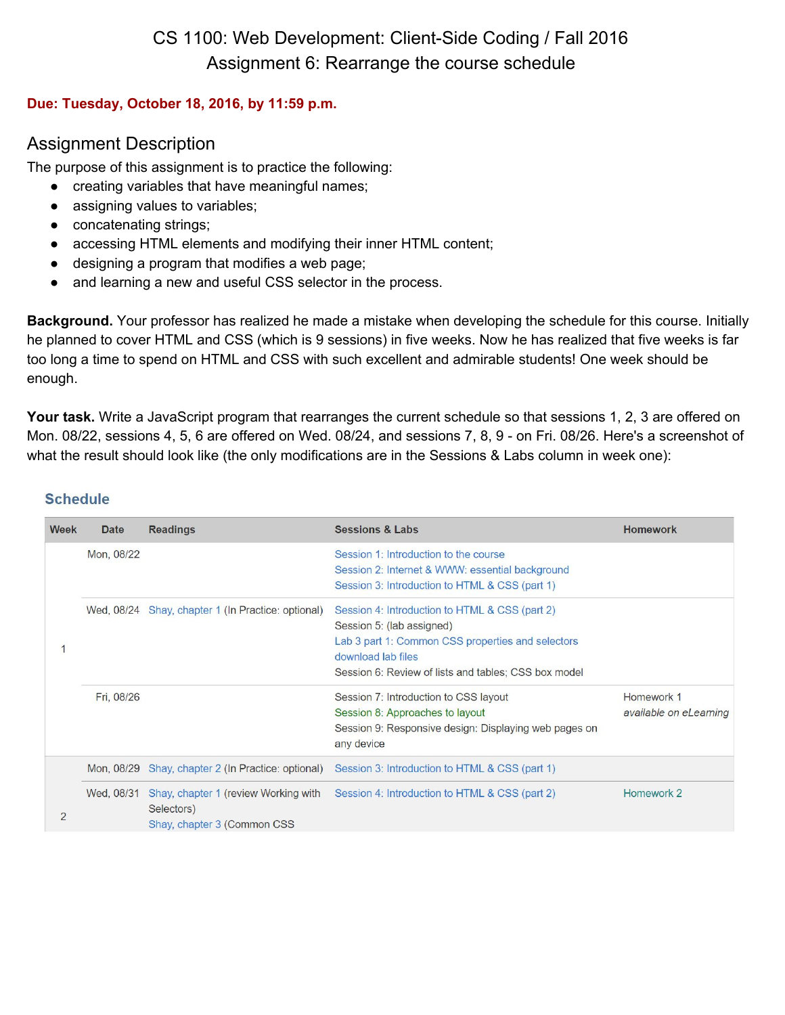# CS 1100: Web Development: Client-Side Coding / Fall 2016 Assignment 6: Rearrange the course schedule

#### **Due: Tuesday, October 18, 2016, by 11:59 p.m.**

## Assignment Description

The purpose of this assignment is to practice the following:

- creating variables that have meaningful names;
- assigning values to variables;
- concatenating strings;
- accessing HTML elements and modifying their inner HTML content;
- designing a program that modifies a web page;
- and learning a new and useful CSS selector in the process.

**Background.** Your professor has realized he made a mistake when developing the schedule for this course. Initially he planned to cover HTML and CSS (which is 9 sessions) in five weeks. Now he has realized that five weeks is far too long a time to spend on HTML and CSS with such excellent and admirable students! One week should be enough.

**Your task.** Write a JavaScript program that rearranges the current schedule so that sessions 1, 2, 3 are offered on Mon. 08/22, sessions 4, 5, 6 are offered on Wed. 08/24, and sessions 7, 8, 9 - on Fri. 08/26. Here's a screenshot of what the result should look like (the only modifications are in the Sessions & Labs column in week one):

| Week | <b>Date</b> | <b>Readings</b>                                                                    | <b>Sessions &amp; Labs</b>                                                                                                                                                                                     | <b>Homework</b>                      |
|------|-------------|------------------------------------------------------------------------------------|----------------------------------------------------------------------------------------------------------------------------------------------------------------------------------------------------------------|--------------------------------------|
|      | Mon, 08/22  |                                                                                    | Session 1: Introduction to the course<br>Session 2: Internet & WWW: essential background<br>Session 3: Introduction to HTML & CSS (part 1)                                                                     |                                      |
|      |             | Wed, 08/24 Shay, chapter 1 (In Practice: optional)                                 | Session 4: Introduction to HTML & CSS (part 2)<br>Session 5: (lab assigned)<br>Lab 3 part 1: Common CSS properties and selectors<br>download lab files<br>Session 6: Review of lists and tables; CSS box model |                                      |
|      | Fri, 08/26  |                                                                                    | Session 7: Introduction to CSS layout<br>Session 8: Approaches to layout<br>Session 9: Responsive design: Displaying web pages on<br>any device                                                                | Homework 1<br>available on eLearning |
| 2    |             | Mon, 08/29 Shay, chapter 2 (In Practice: optional)                                 | Session 3: Introduction to HTML & CSS (part 1)                                                                                                                                                                 |                                      |
|      | Wed, 08/31  | Shay, chapter 1 (review Working with<br>Selectors)<br>Shay, chapter 3 (Common CSS) | Session 4: Introduction to HTML & CSS (part 2)                                                                                                                                                                 | Homework 2                           |

#### **Schedule**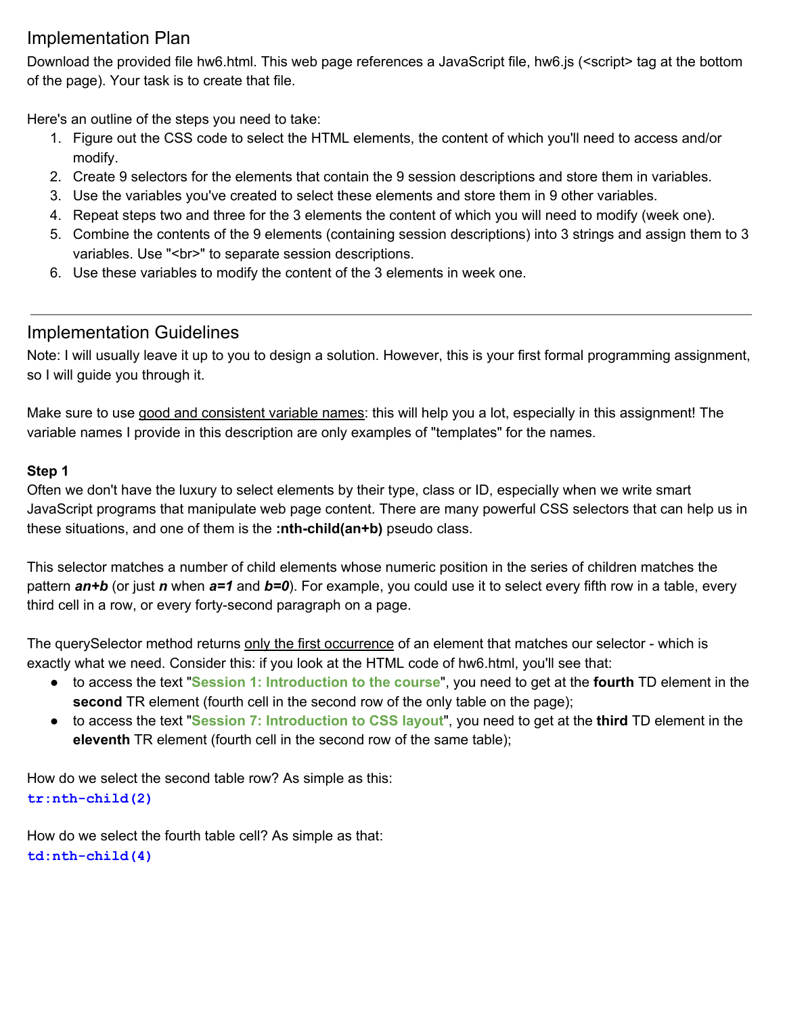# Implementation Plan

Download the provided file hw6.html. This web page references a JavaScript file, hw6.js (<script> tag at the bottom of the page). Your task is to create that file.

Here's an outline of the steps you need to take:

- 1. Figure out the CSS code to select the HTML elements, the content of which you'll need to access and/or modify.
- 2. Create 9 selectors for the elements that contain the 9 session descriptions and store them in variables.
- 3. Use the variables you've created to select these elements and store them in 9 other variables.
- 4. Repeat steps two and three for the 3 elements the content of which you will need to modify (week one).
- 5. Combine the contents of the 9 elements (containing session descriptions) into 3 strings and assign them to 3 variables. Use "<br/>>br>" to separate session descriptions.
- 6. Use these variables to modify the content of the 3 elements in week one.

# Implementation Guidelines

Note: I will usually leave it up to you to design a solution. However, this is your first formal programming assignment, so I will guide you through it.

Make sure to use good and consistent variable names: this will help you a lot, especially in this assignment! The variable names I provide in this description are only examples of "templates" for the names.

### **Step 1**

Often we don't have the luxury to select elements by their type, class or ID, especially when we write smart JavaScript programs that manipulate web page content. There are many powerful CSS selectors that can help us in these situations, and one of them is the **:nth-child(an+b)** pseudo class.

This selector matches a number of child elements whose numeric position in the series of children matches the pattern *an+b* (or just *n* when *a=1* and *b=0*). For example, you could use it to select every fifth row in a table, every third cell in a row, or every forty-second paragraph on a page.

The querySelector method returns only the first occurrence of an element that matches our selector - which is exactly what we need. Consider this: if you look at the HTML code of hw6.html, you'll see that:

- to access the text "**Session 1: Introduction to the course**" , you need to get at the **fourth** TD element in the **second** TR element (fourth cell in the second row of the only table on the page);
- to access the text "**Session 7: Introduction to CSS layout**" , you need to get at the **third** TD element in the **eleventh** TR element (fourth cell in the second row of the same table);

How do we select the second table row? As simple as this: **tr:nth-child(2)**

How do we select the fourth table cell? As simple as that: **td:nth-child(4)**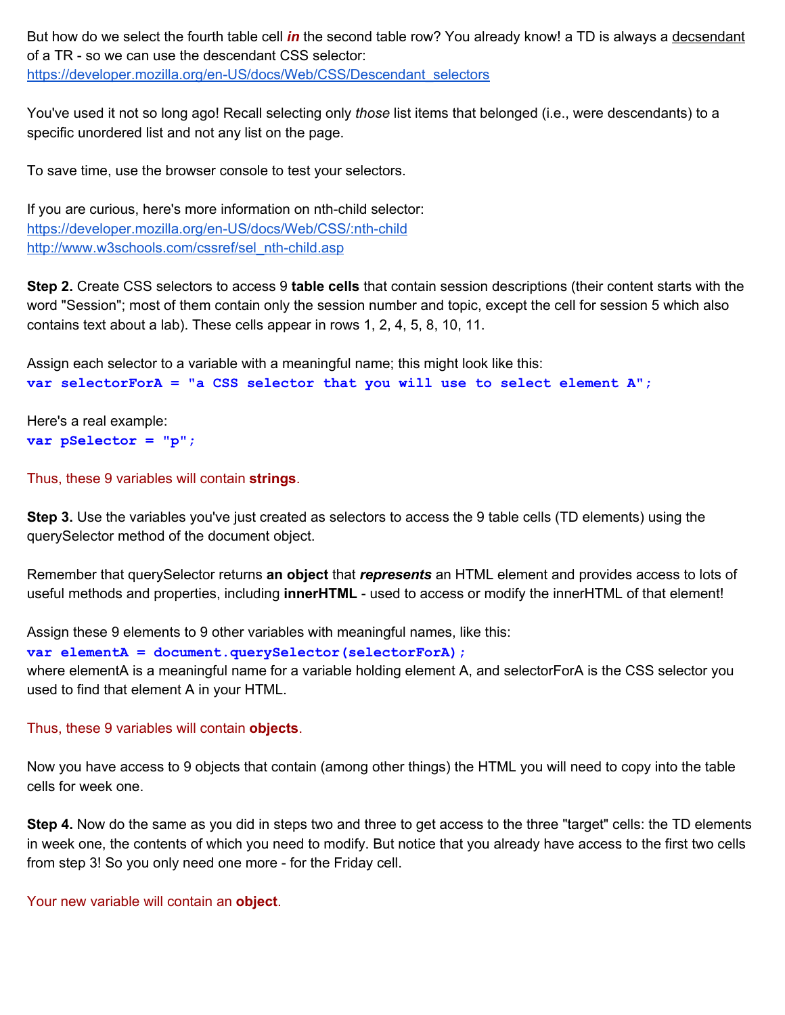But how do we select the fourth table cell *in* the second table row? You already know! a TD is always a decsendant of a TR - so we can use the descendant CSS selector: [https://developer.mozilla.org/en-US/docs/Web/CSS/Descendant\\_selectors](https://developer.mozilla.org/en-US/docs/Web/CSS/Descendant_selectors)

You've used it not so long ago! Recall selecting only *those* list items that belonged (i.e., were descendants) to a specific unordered list and not any list on the page.

To save time, use the browser console to test your selectors.

If you are curious, here's more information on nth-child selector: <https://developer.mozilla.org/en-US/docs/Web/CSS/:nth-child> [http://www.w3schools.com/cssref/sel\\_nth-child.asp](http://www.w3schools.com/cssref/sel_nth-child.asp)

**Step 2.** Create CSS selectors to access 9 **table cells** that contain session descriptions (their content starts with the word "Session"; most of them contain only the session number and topic, except the cell for session 5 which also contains text about a lab). These cells appear in rows 1, 2, 4, 5, 8, 10, 11.

Assign each selector to a variable with a meaningful name; this might look like this: **var selectorForA = "a CSS selector that you will use to select element A";**

Here's a real example: **var pSelector = "p";**

Thus, these 9 variables will contain **strings**.

**Step 3.** Use the variables you've just created as selectors to access the 9 table cells (TD elements) using the querySelector method of the document object.

 Remember that querySelector returns **an object** that *represents* an HTML element and provides access to lots of useful methods and properties, including **innerHTML** - used to access or modify the innerHTML of that element!

Assign these 9 elements to 9 other variables with meaningful names, like this:

var elementA = document.querySelector(selectorForA) ;

where elementA is a meaningful name for a variable holding element A, and selectorForA is the CSS selector you used to find that element A in your HTML.

#### Thus, these 9 variables will contain **objects**.

Now you have access to 9 objects that contain (among other things) the HTML you will need to copy into the table cells for week one.

**Step 4.** Now do the same as you did in steps two and three to get access to the three "target" cells: the TD elements in week one, the contents of which you need to modify. But notice that you already have access to the first two cells from step 3! So you only need one more - for the Friday cell.

Your new variable will contain an **object**.